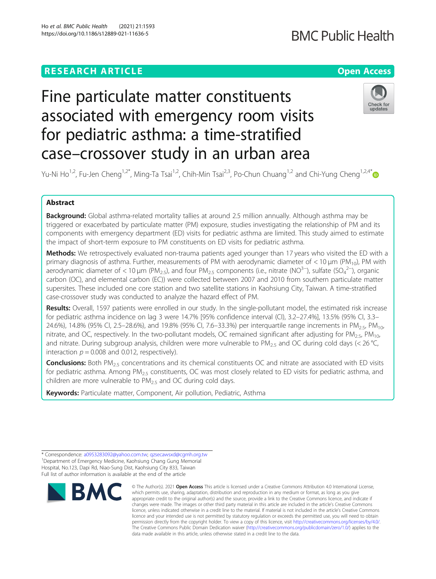# **RESEARCH ARTICLE Example 2014 12:30 The Contract of Contract ACCESS**

# **BMC Public Health**

# Fine particulate matter constituents associated with emergency room visits for pediatric asthma: a time-stratified case–crossover study in an urban area



Yu-Ni Ho<sup>1,2</sup>, Fu-Jen Cheng<sup>1,2\*</sup>, Ming-Ta Tsai<sup>1,2</sup>, Chih-Min Tsai<sup>2,3</sup>, Po-Chun Chuang<sup>1,2</sup> and Chi-Yung Cheng<sup>1,2,4\*</sup>

# Abstract

Background: Global asthma-related mortality tallies at around 2.5 million annually. Although asthma may be triggered or exacerbated by particulate matter (PM) exposure, studies investigating the relationship of PM and its components with emergency department (ED) visits for pediatric asthma are limited. This study aimed to estimate the impact of short-term exposure to PM constituents on ED visits for pediatric asthma.

Methods: We retrospectively evaluated non-trauma patients aged younger than 17 years who visited the ED with a primary diagnosis of asthma. Further, measurements of PM with aerodynamic diameter of  $<$  10  $\mu$ m (PM<sub>10</sub>), PM with aerodynamic diameter of < 10 µm (PM<sub>2.5</sub>), and four PM<sub>2.5</sub> components (i.e., nitrate (NO<sup>3–</sup>), sulfate (SO<sub>4</sub><sup>2–</sup>), organic carbon (OC), and elemental carbon (EC)) were collected between 2007 and 2010 from southern particulate matter supersites. These included one core station and two satellite stations in Kaohsiung City, Taiwan. A time-stratified case-crossover study was conducted to analyze the hazard effect of PM.

Results: Overall, 1597 patients were enrolled in our study. In the single-pollutant model, the estimated risk increase for pediatric asthma incidence on lag 3 were 14.7% [95% confidence interval (CI), 3.2–27.4%], 13.5% (95% CI, 3.3– 24.6%), 14.8% (95% CI, 2.5–28.6%), and 19.8% (95% CI, 7.6–33.3%) per interquartile range increments in PM<sub>2.5</sub>, PM<sub>10</sub>, nitrate, and OC, respectively. In the two-pollutant models, OC remained significant after adjusting for  $PM_{2.5}$ ,  $PM_{10}$ , and nitrate. During subgroup analysis, children were more vulnerable to  $PM_{2.5}$  and OC during cold days (< 26 °C, interaction  $p = 0.008$  and 0.012, respectively).

**Conclusions:** Both PM<sub>2.5</sub> concentrations and its chemical constituents OC and nitrate are associated with ED visits for pediatric asthma. Among PM<sub>2.5</sub> constituents, OC was most closely related to ED visits for pediatric asthma, and children are more vulnerable to PM<sub>2.5</sub> and OC during cold days.

Keywords: Particulate matter, Component, Air pollution, Pediatric, Asthma

<sup>\*</sup> Correspondence: [a0953283092@yahoo.com.tw](mailto:a0953283092@yahoo.com.tw); [qzsecawsxd@cgmh.org.tw](mailto:qzsecawsxd@cgmh.org.tw) <sup>1</sup> <sup>1</sup> Department of Emergency Medicine, Kaohsiung Chang Gung Memorial Hospital, No.123, Dapi Rd, Niao-Sung Dist, Kaohsiung City 833, Taiwan Full list of author information is available at the end of the article



<sup>©</sup> The Author(s), 2021 **Open Access** This article is licensed under a Creative Commons Attribution 4.0 International License, which permits use, sharing, adaptation, distribution and reproduction in any medium or format, as long as you give appropriate credit to the original author(s) and the source, provide a link to the Creative Commons licence, and indicate if changes were made. The images or other third party material in this article are included in the article's Creative Commons licence, unless indicated otherwise in a credit line to the material. If material is not included in the article's Creative Commons licence and your intended use is not permitted by statutory regulation or exceeds the permitted use, you will need to obtain permission directly from the copyright holder. To view a copy of this licence, visit [http://creativecommons.org/licenses/by/4.0/.](http://creativecommons.org/licenses/by/4.0/) The Creative Commons Public Domain Dedication waiver [\(http://creativecommons.org/publicdomain/zero/1.0/](http://creativecommons.org/publicdomain/zero/1.0/)) applies to the data made available in this article, unless otherwise stated in a credit line to the data.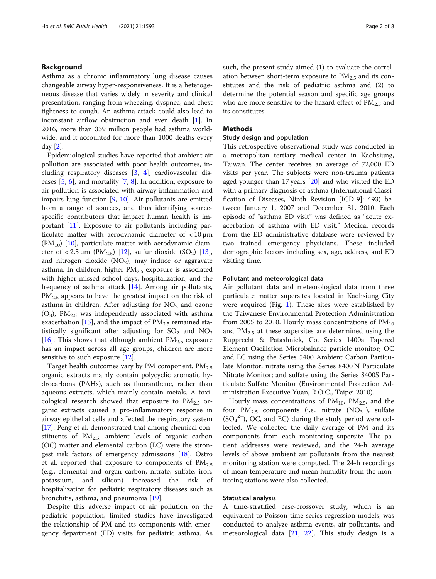# Background

Asthma as a chronic inflammatory lung disease causes changeable airway hyper-responsiveness. It is a heterogeneous disease that varies widely in severity and clinical presentation, ranging from wheezing, dyspnea, and chest tightness to cough. An asthma attack could also lead to inconstant airflow obstruction and even death [\[1](#page-6-0)]. In 2016, more than 339 million people had asthma worldwide, and it accounted for more than 1000 deaths every day [[2\]](#page-6-0).

Epidemiological studies have reported that ambient air pollution are associated with poor health outcomes, including respiratory diseases [\[3,](#page-6-0) [4\]](#page-6-0), cardiovascular diseases [[5,](#page-6-0) [6\]](#page-6-0), and mortality [[7](#page-6-0), [8\]](#page-6-0). In addition, exposure to air pollution is associated with airway inflammation and impairs lung function [\[9](#page-6-0), [10\]](#page-6-0). Air pollutants are emitted from a range of sources, and thus identifying sourcespecific contributors that impact human health is important [[11\]](#page-6-0). Exposure to air pollutants including particulate matter with aerodynamic diameter of < 10 μm  $(PM_{10})$  [[10\]](#page-6-0), particulate matter with aerodynamic diameter of  $\langle 2.5 \mu m$  (PM<sub>2.5</sub>) [[12](#page-7-0)], sulfur dioxide (SO<sub>2</sub>) [\[13](#page-7-0)], and nitrogen dioxide  $(NO<sub>2</sub>)$ , may induce or aggravate asthma. In children, higher  $PM_{2.5}$  exposure is associated with higher missed school days, hospitalization, and the frequency of asthma attack  $[14]$  $[14]$ . Among air pollutants,  $PM_{2.5}$  appears to have the greatest impact on the risk of asthma in children. After adjusting for  $NO<sub>2</sub>$  and ozone  $(O_3)$ ,  $PM_{2.5}$  was independently associated with asthma exacerbation [[15](#page-7-0)], and the impact of  $PM_{2.5}$  remained statistically significant after adjusting for  $SO_2$  and  $NO_2$ [[16\]](#page-7-0). This shows that although ambient  $PM_{2.5}$  exposure has an impact across all age groups, children are more sensitive to such exposure [\[12\]](#page-7-0).

Target health outcomes vary by PM component.  $PM_{2.5}$ organic extracts mainly contain polycyclic aromatic hydrocarbons (PAHs), such as fluoranthene, rather than aqueous extracts, which mainly contain metals. A toxicological research showed that exposure to  $PM_{2.5}$  organic extracts caused a pro-inflammatory response in airway epithelial cells and affected the respiratory system [[17\]](#page-7-0). Peng et al. demonstrated that among chemical constituents of  $PM<sub>2.5</sub>$ , ambient levels of organic carbon (OC) matter and elemental carbon (EC) were the strongest risk factors of emergency admissions [[18\]](#page-7-0). Ostro et al. reported that exposure to components of  $PM_{2.5}$ (e.g., elemental and organ carbon, nitrate, sulfate, iron, potassium, and silicon) increased the risk of hospitalization for pediatric respiratory diseases such as bronchitis, asthma, and pneumonia [\[19](#page-7-0)].

Despite this adverse impact of air pollution on the pediatric population, limited studies have investigated the relationship of PM and its components with emergency department (ED) visits for pediatric asthma. As such, the present study aimed (1) to evaluate the correlation between short-term exposure to  $PM_{2.5}$  and its constitutes and the risk of pediatric asthma and (2) to determine the potential season and specific age groups who are more sensitive to the hazard effect of  $PM_{2.5}$  and its constitutes.

# Methods

# Study design and population

This retrospective observational study was conducted in a metropolitan tertiary medical center in Kaohsiung, Taiwan. The center receives an average of 72,000 ED visits per year. The subjects were non-trauma patients aged younger than 17 years [\[20](#page-7-0)] and who visited the ED with a primary diagnosis of asthma (International Classification of Diseases, Ninth Revision [ICD-9]: 493) between January 1, 2007 and December 31, 2010. Each episode of "asthma ED visit" was defined as "acute exacerbation of asthma with ED visit." Medical records from the ED administrative database were reviewed by two trained emergency physicians. These included demographic factors including sex, age, address, and ED visiting time.

# Pollutant and meteorological data

Air pollutant data and meteorological data from three particulate matter supersites located in Kaohsiung City were acquired (Fig. [1](#page-2-0)). These sites were established by the Taiwanese Environmental Protection Administration from 2005 to 2010. Hourly mass concentrations of  $PM_{10}$ and  $PM<sub>2.5</sub>$  at these supersites are determined using the Rupprecht & Patashnick, Co. Series 1400a Tapered Element Oscillation Microbalance particle monitor; OC and EC using the Series 5400 Ambient Carbon Particulate Monitor; nitrate using the Series 8400 N Particulate Nitrate Monitor; and sulfate using the Series 8400S Particulate Sulfate Monitor (Environmental Protection Administration Executive Yuan, R.O.C., Taipei 2010).

Hourly mass concentrations of  $PM_{10}$ ,  $PM_{2.5}$ , and the four  $PM_{2.5}$  components (i.e., nitrate  $(NO_3^-)$ , sulfate (SO<sub>4</sub><sup>2−</sup>), OC, and EC) during the study period were collected. We collected the daily average of PM and its components from each monitoring supersite. The patient addresses were reviewed, and the 24-h average levels of above ambient air pollutants from the nearest monitoring station were computed. The 24-h recordings of mean temperature and mean humidity from the monitoring stations were also collected.

# Statistical analysis

A time-stratified case-crossover study, which is an equivalent to Poisson time series regression models, was conducted to analyze asthma events, air pollutants, and meteorological data [[21,](#page-7-0) [22\]](#page-7-0). This study design is a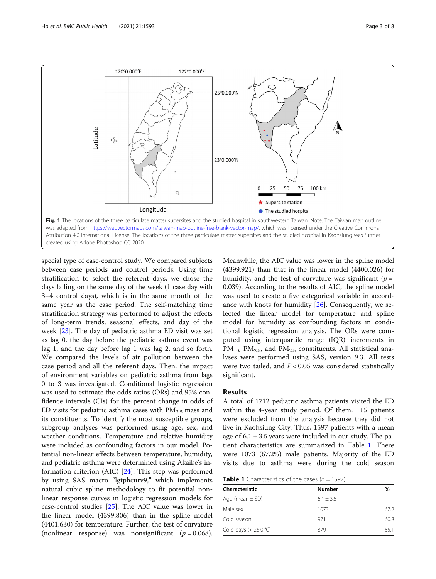<span id="page-2-0"></span>

special type of case-control study. We compared subjects between case periods and control periods. Using time stratification to select the referent days, we chose the days falling on the same day of the week (1 case day with 3–4 control days), which is in the same month of the same year as the case period. The self-matching time stratification strategy was performed to adjust the effects of long-term trends, seasonal effects, and day of the week [\[23\]](#page-7-0). The day of pediatric asthma ED visit was set as lag 0, the day before the pediatric asthma event was lag 1, and the day before lag 1 was lag 2, and so forth. We compared the levels of air pollution between the case period and all the referent days. Then, the impact of environment variables on pediatric asthma from lags 0 to 3 was investigated. Conditional logistic regression was used to estimate the odds ratios (ORs) and 95% confidence intervals (CIs) for the percent change in odds of ED visits for pediatric asthma cases with  $PM_{2.5}$  mass and its constituents. To identify the most susceptible groups, subgroup analyses was performed using age, sex, and weather conditions. Temperature and relative humidity were included as confounding factors in our model. Potential non-linear effects between temperature, humidity, and pediatric asthma were determined using Akaike's information criterion (AIC) [[24\]](#page-7-0). This step was performed by using SAS macro "lgtphcurv9," which implements natural cubic spline methodology to fit potential nonlinear response curves in logistic regression models for case-control studies [\[25](#page-7-0)]. The AIC value was lower in the linear model (4399.806) than in the spline model (4401.630) for temperature. Further, the test of curvature (nonlinear response) was nonsignificant  $(p = 0.068)$ .

Meanwhile, the AIC value was lower in the spline model (4399.921) than that in the linear model (4400.026) for humidity, and the test of curvature was significant ( $p =$ 0.039). According to the results of AIC, the spline model was used to create a five categorical variable in accordance with knots for humidity [\[26](#page-7-0)]. Consequently, we selected the linear model for temperature and spline model for humidity as confounding factors in conditional logistic regression analysis. The ORs were computed using interquartile range (IQR) increments in  $PM_{10}$ ,  $PM_{2.5}$ , and  $PM_{2.5}$  constituents. All statistical analyses were performed using SAS, version 9.3. All tests were two tailed, and  $P < 0.05$  was considered statistically significant.

# Results

A total of 1712 pediatric asthma patients visited the ED within the 4-year study period. Of them, 115 patients were excluded from the analysis because they did not live in Kaohsiung City. Thus, 1597 patients with a mean age of  $6.1 \pm 3.5$  years were included in our study. The patient characteristics are summarized in Table 1. There were 1073 (67.2%) male patients. Majority of the ED visits due to asthma were during the cold season

**Table 1** Characteristics of the cases  $(n = 1597)$ 

| Characteristic          | <b>Number</b> | %    |
|-------------------------|---------------|------|
| Age (mean $\pm$ SD)     | $6.1 + 3.5$   |      |
| Male sex                | 1073          | 67.2 |
| Cold season             | 971           | 60.8 |
| Cold days $(< 26.0 °C)$ | 879           | 55.1 |
|                         |               |      |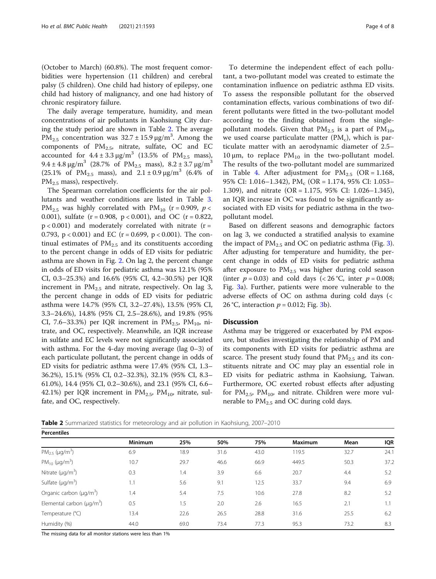(October to March) (60.8%). The most frequent comorbidities were hypertension (11 children) and cerebral palsy (5 children). One child had history of epilepsy, one child had history of malignancy, and one had history of chronic respiratory failure.

The daily average temperature, humidity, and mean concentrations of air pollutants in Kaohsiung City during the study period are shown in Table 2. The average PM<sub>2.5</sub> concentration was  $32.7 \pm 15.9 \,\mu\text{g/m}^3$ . Among the components of  $PM_{2.5}$ , nitrate, sulfate, OC and EC accounted for  $4.4 \pm 3.3 \,\mu\text{g/m}^3$  (13.5% of PM<sub>2.5</sub> mass), 9.4  $\pm$  4.8 μg/m<sup>3</sup> (28.7% of PM<sub>2.5</sub> mass), 8.2  $\pm$  3.7 μg/m<sup>3</sup> (25.1% of PM<sub>2.5</sub> mass), and  $2.1 \pm 0.9 \,\mu g/m^3$  (6.4% of  $PM_{2.5}$  mass), respectively.

The Spearman correlation coefficients for the air pollutants and weather conditions are listed in Table [3](#page-4-0). PM<sub>2.5</sub> was highly correlated with PM<sub>10</sub> (r = 0.909, p < 0.001), sulfate  $(r = 0.908, p < 0.001)$ , and OC  $(r = 0.822,$  $p < 0.001$ ) and moderately correlated with nitrate (r = 0.793,  $p < 0.001$ ) and EC (r = 0.699,  $p < 0.001$ ). The continual estimates of  $PM_{2.5}$  and its constituents according to the percent change in odds of ED visits for pediatric asthma are shown in Fig. [2.](#page-4-0) On lag 2, the percent change in odds of ED visits for pediatric asthma was 12.1% (95% CI, 0.3–25.3%) and 16.6% (95% CI, 4.2–30.5%) per IQR increment in  $PM_{2,5}$  and nitrate, respectively. On lag 3, the percent change in odds of ED visits for pediatric asthma were 14.7% (95% CI, 3.2–27.4%), 13.5% (95% CI, 3.3–24.6%), 14.8% (95% CI, 2.5–28.6%), and 19.8% (95% CI, 7.6–33.3%) per IQR increment in  $PM<sub>2.5</sub>$ ,  $PM<sub>10</sub>$ , nitrate, and OC, respectively. Meanwhile, an IQR increase in sulfate and EC levels were not significantly associated with asthma. For the 4-day moving average (lag  $0-3$ ) of each particulate pollutant, the percent change in odds of ED visits for pediatric asthma were 17.4% (95% CI, 1.3– 36.2%), 15.1% (95% CI, 0.2–32.3%), 32.1% (95% CI, 8.3– 61.0%), 14.4 (95% CI, 0.2–30.6%), and 23.1 (95% CI, 6.6– 42.1%) per IQR increment in  $PM_{2.5}$ ,  $PM_{10}$ , nitrate, sulfate, and OC, respectively.

To determine the independent effect of each pollutant, a two-pollutant model was created to estimate the contamination influence on pediatric asthma ED visits. To assess the responsible pollutant for the observed contamination effects, various combinations of two different pollutants were fitted in the two-pollutant model according to the finding obtained from the singlepollutant models. Given that  $PM_{2.5}$  is a part of  $PM_{10}$ , we used coarse particulate matter  $(PM_c)$ , which is particulate matter with an aerodynamic diameter of 2.5– 10 μm, to replace  $PM_{10}$  in the two-pollutant model. The results of the two-pollutant model are summarized in Table [4.](#page-5-0) After adjustment for  $PM_{2.5}$  (OR = 1.168, 95% CI: 1.016–1.342), PM<sub>c</sub> (OR = 1.174, 95% CI: 1.053– 1.309), and nitrate (OR = 1.175, 95% CI: 1.026–1.345), an IQR increase in OC was found to be significantly associated with ED visits for pediatric asthma in the twopollutant model.

Based on different seasons and demographic factors on lag 3, we conducted a stratified analysis to examine the impact of  $PM_{2.5}$  and OC on pediatric asthma (Fig. [3](#page-5-0)). After adjusting for temperature and humidity, the percent change in odds of ED visits for pediatric asthma after exposure to  $PM_{2.5}$  was higher during cold season (inter  $p = 0.03$ ) and cold days (< 26 °C, inter  $p = 0.008$ ; Fig. [3a](#page-5-0)). Further, patients were more vulnerable to the adverse effects of OC on asthma during cold days (< 26 °C, interaction  $p = 0.012$ ; Fig. [3](#page-5-0)b).

## **Discussion**

Asthma may be triggered or exacerbated by PM exposure, but studies investigating the relationship of PM and its components with ED visits for pediatric asthma are scarce. The present study found that  $PM<sub>2.5</sub>$  and its constituents nitrate and OC may play an essential role in ED visits for pediatric asthma in Kaohsiung, Taiwan. Furthermore, OC exerted robust effects after adjusting for  $PM_{2.5}$ ,  $PM_{10}$ , and nitrate. Children were more vulnerable to  $PM<sub>2.5</sub>$  and OC during cold days.

Table 2 Summarized statistics for meteorology and air pollution in Kaohsiung, 2007-2010

| Percentiles                                 |                |      |      |      |                |      |            |  |
|---------------------------------------------|----------------|------|------|------|----------------|------|------------|--|
|                                             | <b>Minimum</b> | 25%  | 50%  | 75%  | <b>Maximum</b> | Mean | <b>IQR</b> |  |
| $PM_{25}$ (µg/m <sup>3</sup> )              | 6.9            | 18.9 | 31.6 | 43.0 | 119.5          | 32.7 | 24.1       |  |
| PM <sub>10</sub> ( $\mu$ g/m <sup>3</sup> ) | 10.7           | 29.7 | 46.6 | 66.9 | 449.5          | 50.3 | 37.2       |  |
| Nitrate $(\mu q/m^3)$                       | 0.3            | 1.4  | 3.9  | 6.6  | 20.7           | 4.4  | 5.2        |  |
| Sulfate $(\mu q/m^3)$                       | 1.1            | 5.6  | 9.1  | 12.5 | 33.7           | 9.4  | 6.9        |  |
| Organic carbon $(\mu q/m^3)$                | 1.4            | 5.4  | 7.5  | 10.6 | 27.8           | 8.2  | 5.2        |  |
| Elemental carbon ( $\mu q/m^3$ )            | 0.5            | 1.5  | 2.0  | 2.6  | 16.5           | 2.1  | 1.1        |  |
| Temperature (°C)                            | 13.4           | 22.6 | 26.5 | 28.8 | 31.6           | 25.5 | 6.2        |  |
| Humidity (%)                                | 44.0           | 69.0 | 73.4 | 77.3 | 95.3           | 73.2 | 8.3        |  |
|                                             |                |      |      |      |                |      |            |  |

The missing data for all monitor stations were less than 1%

 $\overline{P}$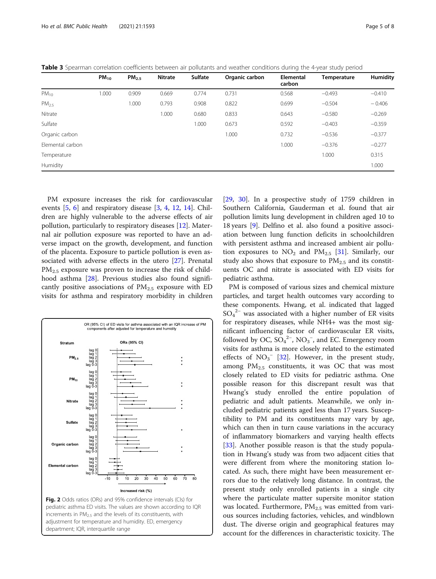<span id="page-4-0"></span>

| Table 3 Spearman correlation coefficients between air pollutants and weather conditions during the 4-year study period |  |  |
|------------------------------------------------------------------------------------------------------------------------|--|--|
|------------------------------------------------------------------------------------------------------------------------|--|--|

|                  | $PM_{10}$ | PM <sub>2.5</sub> | <b>Nitrate</b> | <b>Sulfate</b> | Organic carbon | <b>Elemental</b><br>carbon | Temperature | Humidity |
|------------------|-----------|-------------------|----------------|----------------|----------------|----------------------------|-------------|----------|
| $PM_{10}$        | 000.1     | 0.909             | 0.669          | 0.774          | 0.731          | 0.568                      | $-0.493$    | $-0.410$ |
| PM <sub>25</sub> |           | 1.000             | 0.793          | 0.908          | 0.822          | 0.699                      | $-0.504$    | $-0.406$ |
| Nitrate          |           |                   | 1.000          | 0.680          | 0.833          | 0.643                      | $-0.580$    | $-0.269$ |
| Sulfate          |           |                   |                | 1.000          | 0.673          | 0.592                      | $-0.403$    | $-0.359$ |
| Organic carbon   |           |                   |                |                | 1.000          | 0.732                      | $-0.536$    | $-0.377$ |
| Flemental carbon |           |                   |                |                |                | 1.000                      | $-0.376$    | $-0.277$ |
| Temperature      |           |                   |                |                |                |                            | 1.000       | 0.315    |
| Humidity         |           |                   |                |                |                |                            |             | 1.000    |

PM exposure increases the risk for cardiovascular events [\[5](#page-6-0), [6\]](#page-6-0) and respiratory disease [[3,](#page-6-0) [4](#page-6-0), [12](#page-7-0), [14\]](#page-7-0). Children are highly vulnerable to the adverse effects of air pollution, particularly to respiratory diseases [\[12](#page-7-0)]. Maternal air pollution exposure was reported to have an adverse impact on the growth, development, and function of the placenta. Exposure to particle pollution is even associated with adverse effects in the utero [[27\]](#page-7-0). Prenatal  $PM_{2.5}$  exposure was proven to increase the risk of childhood asthma [[28\]](#page-7-0). Previous studies also found significantly positive associations of  $PM_{2.5}$  exposure with ED visits for asthma and respiratory morbidity in children

![](_page_4_Figure_5.jpeg)

pediatric asthma ED visits. The values are shown according to IQR increments in  $PM<sub>2.5</sub>$  and the levels of its constituents, with adjustment for temperature and humidity. ED, emergency department; IQR, interquartile range

[[29,](#page-7-0) [30\]](#page-7-0). In a prospective study of 1759 children in Southern California, Gauderman et al. found that air pollution limits lung development in children aged 10 to 18 years [[9](#page-6-0)]. Delfino et al. also found a positive association between lung function deficits in schoolchildren with persistent asthma and increased ambient air pollution exposures to  $NO<sub>2</sub>$  and  $PM<sub>2.5</sub>$  [\[31\]](#page-7-0). Similarly, our study also shows that exposure to  $PM_{2.5}$  and its constituents OC and nitrate is associated with ED visits for pediatric asthma.

PM is composed of various sizes and chemical mixture particles, and target health outcomes vary according to these components. Hwang, et al. indicated that lagged SO4 <sup>2</sup><sup>−</sup> was associated with a higher number of ER visits for respiratory diseases, while NH4+ was the most significant influencing factor of cardiovascular ER visits, followed by OC,  $SO_4^2$ <sup>-</sup>, NO<sub>3</sub><sup>-</sup>, and EC. Emergency room visits for asthma is more closely related to the estimated effects of  $NO<sub>3</sub><sup>-</sup>$  [[32\]](#page-7-0). However, in the present study, among  $PM_{2.5}$  constituents, it was OC that was most closely related to ED visits for pediatric asthma. One possible reason for this discrepant result was that Hwang's study enrolled the entire population of pediatric and adult patients. Meanwhile, we only included pediatric patients aged less than 17 years. Susceptibility to PM and its constituents may vary by age, which can then in turn cause variations in the accuracy of inflammatory biomarkers and varying health effects [[33\]](#page-7-0). Another possible reason is that the study population in Hwang's study was from two adjacent cities that were different from where the monitoring station located. As such, there might have been measurement errors due to the relatively long distance. In contrast, the present study only enrolled patients in a single city where the particulate matter supersite monitor station was located. Furthermore,  $PM_{2.5}$  was emitted from various sources including factories, vehicles, and windblown dust. The diverse origin and geographical features may account for the differences in characteristic toxicity. The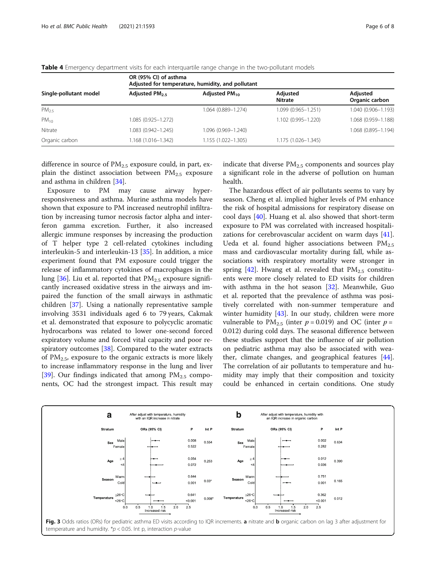|                        | OR (95% CI) of asthma<br>Adjusted for temperature, humidity, and pollutant |                     |                            |                            |  |  |  |  |
|------------------------|----------------------------------------------------------------------------|---------------------|----------------------------|----------------------------|--|--|--|--|
| Single-pollutant model | Adjusted $PM2.5$                                                           | Adjusted $PM_{10}$  | Adjusted<br><b>Nitrate</b> | Adjusted<br>Organic carbon |  |  |  |  |
| PM <sub>25</sub>       |                                                                            | 1.064 (0.889-1.274) | 1.099 (0.965-1.251)        | 1.040 (0.906-1.193)        |  |  |  |  |
| $PM_{10}$              | 1.085 (0.925-1.272)                                                        |                     | 1.102 (0.995-1.220)        | 1.068 (0.959-1.188)        |  |  |  |  |
| Nitrate                | 1.083 (0.942-1.245)                                                        | 1.096 (0.969-1.240) |                            | 1.068 (0.895-1.194)        |  |  |  |  |
| Organic carbon         | 1.168 (1.016-1.342)                                                        | 1.155 (1.022-1.305) | 1.175 (1.026-1.345)        |                            |  |  |  |  |

<span id="page-5-0"></span>Table 4 Emergency department visits for each interquartile range change in the two-pollutant models

difference in source of  $PM_{2.5}$  exposure could, in part, explain the distinct association between  $PM_{2.5}$  exposure and asthma in children [\[34](#page-7-0)].

Exposure to PM may cause airway hyperresponsiveness and asthma. Murine asthma models have shown that exposure to PM increased neutrophil infiltration by increasing tumor necrosis factor alpha and interferon gamma excretion. Further, it also increased allergic immune responses by increasing the production of T helper type 2 cell-related cytokines including interleukin-5 and interleukin-13 [[35\]](#page-7-0). In addition, a mice experiment found that PM exposure could trigger the release of inflammatory cytokines of macrophages in the lung  $[36]$  $[36]$ . Liu et al. reported that  $PM_{2.5}$  exposure significantly increased oxidative stress in the airways and impaired the function of the small airways in asthmatic children [\[37\]](#page-7-0). Using a nationally representative sample involving 3531 individuals aged 6 to 79 years, Cakmak et al. demonstrated that exposure to polycyclic aromatic hydrocarbons was related to lower one-second forced expiratory volume and forced vital capacity and poor respiratory outcomes [[38](#page-7-0)]. Compared to the water extracts of  $PM<sub>2.5</sub>$ , exposure to the organic extracts is more likely to increase inflammatory response in the lung and liver [[39\]](#page-7-0). Our findings indicated that among  $PM_{2.5}$  components, OC had the strongest impact. This result may

indicate that diverse  $PM_{2.5}$  components and sources play a significant role in the adverse of pollution on human health.

The hazardous effect of air pollutants seems to vary by season. Cheng et al. implied higher levels of PM enhance the risk of hospital admissions for respiratory disease on cool days [[40](#page-7-0)]. Huang et al. also showed that short-term exposure to PM was correlated with increased hospitalizations for cerebrovascular accident on warm days [\[41](#page-7-0)]. Ueda et al. found higher associations between  $PM_{2.5}$ mass and cardiovascular mortality during fall, while associations with respiratory mortality were stronger in spring [[42](#page-7-0)]. Hwang et al. revealed that  $PM_{2.5}$  constituents were more closely related to ED visits for children with asthma in the hot season [\[32\]](#page-7-0). Meanwhile, Guo et al. reported that the prevalence of asthma was positively correlated with non-summer temperature and winter humidity  $[43]$  $[43]$  $[43]$ . In our study, children were more vulnerable to  $PM_{2,5}$  (inter  $p = 0.019$ ) and OC (inter  $p =$ 0.012) during cold days. The seasonal difference between these studies support that the influence of air pollution on pediatric asthma may also be associated with weather, climate changes, and geographical features [\[44](#page-7-0)]. The correlation of air pollutants to temperature and humidity may imply that their composition and toxicity could be enhanced in certain conditions. One study

![](_page_5_Figure_8.jpeg)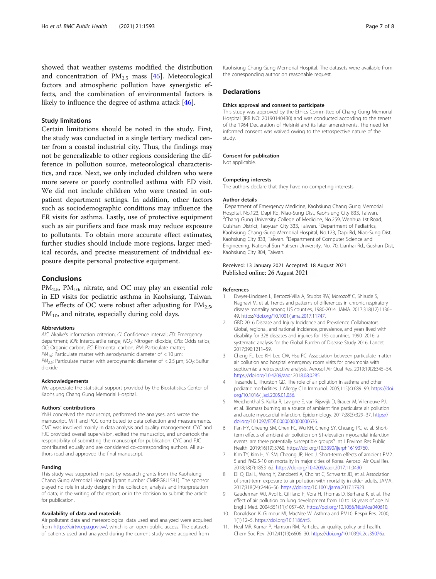<span id="page-6-0"></span>showed that weather systems modified the distribution and concentration of  $PM_{2.5}$  mass [\[45\]](#page-7-0). Meteorological factors and atmospheric pollution have synergistic effects, and the combination of environmental factors is likely to influence the degree of asthma attack [[46\]](#page-7-0).

# Study limitations

Certain limitations should be noted in the study. First, the study was conducted in a single tertiary medical center from a coastal industrial city. Thus, the findings may not be generalizable to other regions considering the difference in pollution source, meteorological characteristics, and race. Next, we only included children who were more severe or poorly controlled asthma with ED visit. We did not include children who were treated in outpatient department settings. In addition, other factors such as sociodemographic conditions may influence the ER visits for asthma. Lastly, use of protective equipment such as air purifiers and face mask may reduce exposure to pollutants. To obtain more accurate effect estimates, further studies should include more regions, larger medical records, and precise measurement of individual exposure despite personal protective equipment.

# Conclusions

 $PM_{2.5}$ ,  $PM_{10}$ , nitrate, and OC may play an essential role in ED visits for pediatric asthma in Kaohsiung, Taiwan. The effects of OC were robust after adjusting for  $PM_{2.5}$ ,  $PM<sub>10</sub>$ , and nitrate, especially during cold days.

#### Abbreviations

AIC: Akaike's information criterion; CI: Confidence interval; ED: Emergency department; IQR: Interquartile range; NO<sub>2</sub>: Nitrogen dioxide; ORs: Odds ratios; OC: Organic carbon; EC: Elemental carbon; PM: Particulate matter;  $PM_{10}$ : Particulate matter with aerodynamic diameter of < 10  $\mu$ m;  $PM_{2.5}$ : Particulate matter with aerodynamic diameter of < 2.5 µm; SO<sub>2</sub>: Sulfur dioxide

#### Acknowledgements

We appreciate the statistical support provided by the Biostatistics Center of Kaohsiung Chang Gung Memorial Hospital.

#### Authors' contributions

YNH conceived the manuscript, performed the analyses, and wrote the manuscript. MTT and PCC contributed to data collection and measurements. CMT was involved mainly in data analysis and quality management. CYC and FJC provided overall supervision, edited the manuscript, and undertook the responsibility of submitting the manuscript for publication. CYC and FJC contributed equally and are considered co-corresponding authors. All authors read and approved the final manuscript.

### Funding

This study was supported in part by research grants from the Kaohsiung Chang Gung Memorial Hospital [grant number CMRPG8J1581]. The sponsor played no role in study design; in the collection, analysis and interpretation of data; in the writing of the report; or in the decision to submit the article for publication.

### Availability of data and materials

Air pollutant data and meteorological data used and analyzed were acquired from <https://airtw.epa.gov.tw/>, which is an open public access. The datasets of patients used and analyzed during the current study were acquired from

Kaohsiung Chang Gung Memorial Hospital. The datasets were available from the corresponding author on reasonable request.

### **Declarations**

#### Ethics approval and consent to participate

This study was approved by the Ethics Committee of Chang Gung Memorial Hospital (IRB NO: 201901404B0) and was conducted according to the tenets of the 1964 Declaration of Helsinki and its later amendments. The need for informed consent was waived owing to the retrospective nature of the study.

#### Consent for publication

Not applicable.

#### Competing interests

The authors declare that they have no competing interests.

#### Author details

<sup>1</sup>Department of Emergency Medicine, Kaohsiung Chang Gung Memorial Hospital, No.123, Dapi Rd, Niao-Sung Dist, Kaohsiung City 833, Taiwan. <sup>2</sup>Chang Gung University College of Medicine, No.259, Wenhua 1st Road Guishan District, Taoyuan City 333, Taiwan. <sup>3</sup>Department of Pediatrics Kaohsiung Chang Gung Memorial Hospital, No.123, Dapi Rd, Niao-Sung Dist, Kaohsiung City 833, Taiwan. <sup>4</sup> Department of Computer Science and Engineering, National Sun Yat-sen University, No. 70, Lianhai Rd., Gushan Dist, Kaohsiung City 804, Taiwan.

## Received: 13 January 2021 Accepted: 18 August 2021 Published online: 26 August 2021

#### References

- 1. Dwyer-Lindgren L, Bertozzi-Villa A, Stubbs RW, Morozoff C, Shirude S, Naghavi M, et al. Trends and patterns of differences in chronic respiratory disease mortality among US counties, 1980-2014. JAMA. 2017;318(12):1136– 49. [https://doi.org/10.1001/jama.2017.11747.](https://doi.org/10.1001/jama.2017.11747)
- 2. GBD 2016 Disease and Injury Incidence and Prevalence Collaborators. Global, regional, and national incidence, prevalence, and years lived with disability for 328 diseases and injuries for 195 countries, 1990–2016: a systematic analysis for the Global Burden of Disease Study 2016. Lancet. 2017;390:1211–59.
- 3. Cheng FJ, Lee KH, Lee CW, Hsu PC. Association between particulate matter air pollution and hospital emergency room visits for pneumonia with septicemia: a retrospective analysis. Aerosol Air Qual Res. 2019;19(2):345–54. [https://doi.org/10.4209/aaqr.2018.08.0285.](https://doi.org/10.4209/aaqr.2018.08.0285)
- Trasande L, Thurston GD. The role of air pollution in asthma and other pediatric morbidities. J Allergy Clin Immunol. 2005;115(4):689–99. [https://doi.](https://doi.org/10.1016/j.jaci.2005.01.056) [org/10.1016/j.jaci.2005.01.056](https://doi.org/10.1016/j.jaci.2005.01.056).
- 5. Weichenthal S, Kulka R, Lavigne E, van Rijswijk D, Brauer M, Villeneuve PJ, et al. Biomass burning as a source of ambient fine particulate air pollution and acute myocardial infarction. Epidemiology. 2017;28(3):329–37. [https://](https://doi.org/10.1097/EDE.0000000000000636) [doi.org/10.1097/EDE.0000000000000636](https://doi.org/10.1097/EDE.0000000000000636).
- Pan HY, Cheung SM, Chen FC, Wu KH, Cheng SY, Chuang PC, et al. Shortterm effects of ambient air pollution on ST-elevation myocardial infarction events: are there potentially susceptible groups? Int J Environ Res Public Health. 2019;16(19):3760. <https://doi.org/10.3390/ijerph16193760>.
- 7. Kim TY, Kim H, Yi SM, Cheong JP, Heo J. Short-term effects of ambient PM2. 5 and PM2.5-10 on mortality in major cities of Korea. Aerosol Air Qual Res. 2018;18(7):1853–62. <https://doi.org/10.4209/aaqr.2017.11.0490>.
- Di Q, Dai L, Wang Y, Zanobetti A, Choirat C, Schwartz JD, et al. Association of short-term exposure to air pollution with mortality in older adults. JAMA. 2017;318(24):2446–56. [https://doi.org/10.1001/jama.2017.17923.](https://doi.org/10.1001/jama.2017.17923)
- 9. Gauderman WJ, Avol E, Gilliland F, Vora H, Thomas D, Berhane K, et al. The effect of air pollution on lung development from 10 to 18 years of age. N Engl J Med. 2004;351(11):1057–67. <https://doi.org/10.1056/NEJMoa040610>.
- 10. Donaldson K, Gilmour MI, MacNee W. Asthma and PM10. Respir Res. 2000; 1(1):12–5. <https://doi.org/10.1186/rr5>.
- 11. Heal MR, Kumar P, Harrison RM. Particles, air quality, policy and health. Chem Soc Rev. 2012;41(19):6606–30. <https://doi.org/10.1039/c2cs35076a>.